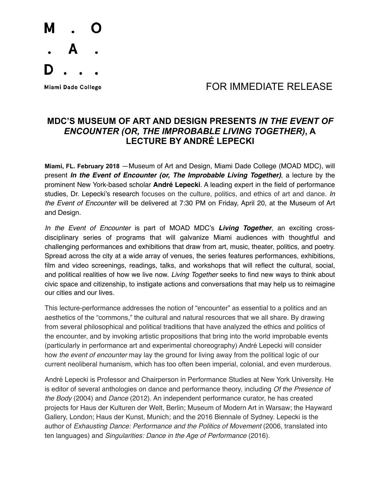

## Miami Dade College **Algebra 1999 TOR IMMEDIATE RELEASE**

## **MDC'S MUSEUM OF ART AND DESIGN PRESENTS** *IN THE EVENT OF ENCOUNTER (OR, THE IMPROBABLE LIVING TOGETHER)***, A LECTURE BY ANDRÉ LEPECKI**

**Miami, FL. February 2018** —Museum of Art and Design, Miami Dade College (MOAD MDC), will present *In the Event of Encounter (or, The Improbable Living Together)*, a lecture by the prominent New York-based scholar **André Lepecki**. A leading expert in the field of performance studies, Dr. Lepecki's research focuses on the culture, politics, and ethics of art and dance. *In the Event of Encounter* will be delivered at 7:30 PM on Friday, April 20, at the Museum of Art and Design.

*In the Event of Encounter* is part of MOAD MDC's *Living Together*, an exciting crossdisciplinary series of programs that will galvanize Miami audiences with thoughtful and challenging performances and exhibitions that draw from art, music, theater, politics, and poetry. Spread across the city at a wide array of venues, the series features performances, exhibitions, film and video screenings, readings, talks, and workshops that will reflect the cultural, social, and political realities of how we live now. *Living Together* seeks to find new ways to think about civic space and citizenship, to instigate actions and conversations that may help us to reimagine our cities and our lives.

This lecture-performance addresses the notion of "encounter" as essential to a politics and an aesthetics of the "commons," the cultural and natural resources that we all share. By drawing from several philosophical and political traditions that have analyzed the ethics and politics of the encounter, and by invoking artistic propositions that bring into the world improbable events (particularly in performance art and experimental choreography) André Lepecki will consider how *the event of encounter* may lay the ground for living away from the political logic of our current neoliberal humanism, which has too often been imperial, colonial, and even murderous.

André Lepecki is Professor and Chairperson in Performance Studies at New York University. He is editor of several anthologies on dance and performance theory, including *Of the Presence of the Body* (2004) and *Dance* (2012). An independent performance curator, he has created projects for Haus der Kulturen der Welt, Berlin; Museum of Modern Art in Warsaw; the Hayward Gallery, London; Haus der Kunst, Munich; and the 2016 Biennale of Sydney. Lepecki is the author of *Exhausting Dance: Performance and the Politics of Movement* (2006, translated into ten languages) and *Singularities: Dance in the Age of Performance* (2016).